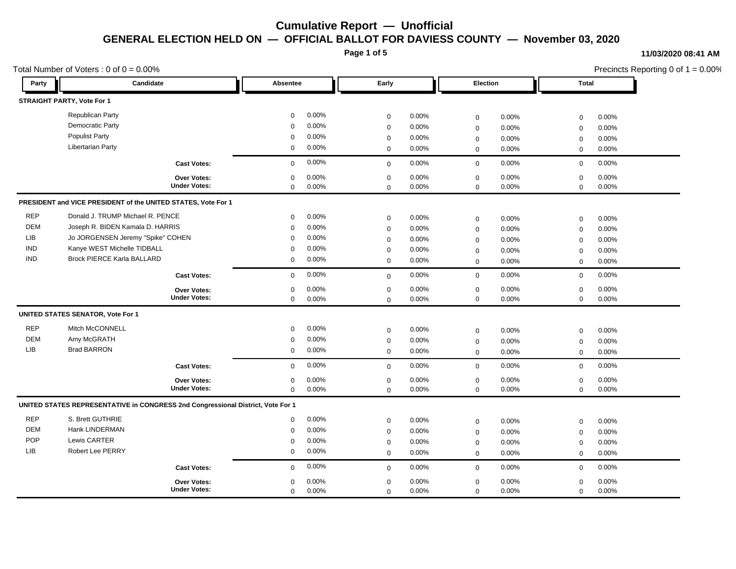**Page 1 of 5**

#### **11/03/2020 08:41 AM**

|            | Total Number of Voters : $0$ of $0 = 0.00\%$                                    |             |       |             |       |                     | Precincts Reporting 0 of $1 = 0.00\%$ |             |       |  |
|------------|---------------------------------------------------------------------------------|-------------|-------|-------------|-------|---------------------|---------------------------------------|-------------|-------|--|
| Party      | Candidate                                                                       | Absentee    |       | Early       |       |                     | Election                              | Total       |       |  |
|            | <b>STRAIGHT PARTY, Vote For 1</b>                                               |             |       |             |       |                     |                                       |             |       |  |
|            | Republican Party                                                                | $\mathbf 0$ | 0.00% | $\mathbf 0$ | 0.00% | $\mathsf 0$         | 0.00%                                 | $\mathbf 0$ | 0.00% |  |
|            | Democratic Party                                                                | $\Omega$    | 0.00% | $\mathbf 0$ | 0.00% | $\mathsf 0$         | 0.00%                                 | $\mathbf 0$ | 0.00% |  |
|            | <b>Populist Party</b>                                                           | $\Omega$    | 0.00% | $\mathbf 0$ | 0.00% | $\mathsf 0$         | 0.00%                                 | $\mathbf 0$ | 0.00% |  |
|            | Libertarian Party                                                               | $\mathbf 0$ | 0.00% | $\mathbf 0$ | 0.00% | $\mathbf 0$         | 0.00%                                 | $\mathbf 0$ | 0.00% |  |
|            | <b>Cast Votes:</b>                                                              | 0           | 0.00% | $\mathbf 0$ | 0.00% | $\mathsf 0$         | 0.00%                                 | $\mathbf 0$ | 0.00% |  |
|            | <b>Over Votes:</b>                                                              | $\Omega$    | 0.00% | $\mathbf 0$ | 0.00% | $\mathbf 0$         | 0.00%                                 | $\mathbf 0$ | 0.00% |  |
|            | <b>Under Votes:</b>                                                             | $\mathbf 0$ | 0.00% | $\Omega$    | 0.00% | $\mathbf 0$         | 0.00%                                 | $\mathbf 0$ | 0.00% |  |
|            | PRESIDENT and VICE PRESIDENT of the UNITED STATES, Vote For 1                   |             |       |             |       |                     |                                       |             |       |  |
| <b>REP</b> | Donald J. TRUMP Michael R. PENCE                                                | $\mathbf 0$ | 0.00% | $\mathbf 0$ | 0.00% | $\mathbf 0$         | 0.00%                                 | $\mathbf 0$ | 0.00% |  |
| <b>DEM</b> | Joseph R. BIDEN Kamala D. HARRIS                                                | $\mathbf 0$ | 0.00% | $\mathbf 0$ | 0.00% | $\mathbf 0$         | 0.00%                                 | $\mathbf 0$ | 0.00% |  |
| <b>LIB</b> | Jo JORGENSEN Jeremy "Spike" COHEN                                               | $\Omega$    | 0.00% | $\mathbf 0$ | 0.00% | $\mathbf 0$         | 0.00%                                 | $\mathbf 0$ | 0.00% |  |
| <b>IND</b> | Kanye WEST Michelle TIDBALL                                                     | 0           | 0.00% | $\mathbf 0$ | 0.00% | $\mathbf 0$         | 0.00%                                 | $\mathbf 0$ | 0.00% |  |
| <b>IND</b> | <b>Brock PIERCE Karla BALLARD</b>                                               | $\mathbf 0$ | 0.00% | $\mathbf 0$ | 0.00% | $\mathbf 0$         | 0.00%                                 | $\mathbf 0$ | 0.00% |  |
|            | <b>Cast Votes:</b>                                                              | $\mathbf 0$ | 0.00% | $\mathbf 0$ | 0.00% | $\mathsf 0$         | 0.00%                                 | $\mathbf 0$ | 0.00% |  |
|            | <b>Over Votes:</b>                                                              | $\mathbf 0$ | 0.00% | $\mathbf 0$ | 0.00% | $\mathbf 0$         | 0.00%                                 | $\mathbf 0$ | 0.00% |  |
|            | <b>Under Votes:</b>                                                             | 0           | 0.00% | $\mathbf 0$ | 0.00% | $\mathsf{O}\xspace$ | 0.00%                                 | $\mathbf 0$ | 0.00% |  |
|            | <b>UNITED STATES SENATOR, Vote For 1</b>                                        |             |       |             |       |                     |                                       |             |       |  |
| <b>REP</b> | Mitch McCONNELL                                                                 | 0           | 0.00% | $\mathbf 0$ | 0.00% | $\mathsf 0$         | 0.00%                                 | $\mathbf 0$ | 0.00% |  |
| <b>DEM</b> | Amy McGRATH                                                                     | $\mathbf 0$ | 0.00% | $\mathbf 0$ | 0.00% | $\mathbf 0$         | 0.00%                                 | $\mathbf 0$ | 0.00% |  |
| <b>LIB</b> | <b>Brad BARRON</b>                                                              | $\mathbf 0$ | 0.00% | $\mathbf 0$ | 0.00% | $\mathbf 0$         | 0.00%                                 | $\mathbf 0$ | 0.00% |  |
|            | <b>Cast Votes:</b>                                                              | $\mathbf 0$ | 0.00% | $\mathbf 0$ | 0.00% | $\mathbf 0$         | 0.00%                                 | $\mathbf 0$ | 0.00% |  |
|            | Over Votes:                                                                     | $\mathbf 0$ | 0.00% | $\mathbf 0$ | 0.00% | $\mathsf 0$         | 0.00%                                 | $\mathbf 0$ | 0.00% |  |
|            | <b>Under Votes:</b>                                                             | 0           | 0.00% | $\Omega$    | 0.00% | $\mathbf 0$         | 0.00%                                 | $\mathbf 0$ | 0.00% |  |
|            | UNITED STATES REPRESENTATIVE in CONGRESS 2nd Congressional District, Vote For 1 |             |       |             |       |                     |                                       |             |       |  |
| <b>REP</b> | S. Brett GUTHRIE                                                                | 0           | 0.00% | $\mathbf 0$ | 0.00% | $\mathsf 0$         | 0.00%                                 | $\mathbf 0$ | 0.00% |  |
| <b>DEM</b> | Hank LINDERMAN                                                                  | $\mathbf 0$ | 0.00% | $\mathbf 0$ | 0.00% | $\mathbf 0$         | 0.00%                                 | $\mathbf 0$ | 0.00% |  |
| POP        | Lewis CARTER                                                                    | 0           | 0.00% | 0           | 0.00% | $\mathbf 0$         | 0.00%                                 | $\mathbf 0$ | 0.00% |  |
| LIB        | <b>Robert Lee PERRY</b>                                                         | $\mathbf 0$ | 0.00% | $\mathbf 0$ | 0.00% | $\mathbf 0$         | 0.00%                                 | $\mathbf 0$ | 0.00% |  |
|            | <b>Cast Votes:</b>                                                              | $\mathbf 0$ | 0.00% | $\mathbf 0$ | 0.00% | $\mathbf 0$         | 0.00%                                 | $\mathbf 0$ | 0.00% |  |
|            | Over Votes:                                                                     | 0           | 0.00% | $\mathbf 0$ | 0.00% | $\mathbf 0$         | 0.00%                                 | $\mathbf 0$ | 0.00% |  |
|            | <b>Under Votes:</b>                                                             | 0           | 0.00% | $\mathbf 0$ | 0.00% | $\mathbf 0$         | 0.00%                                 | $\mathbf 0$ | 0.00% |  |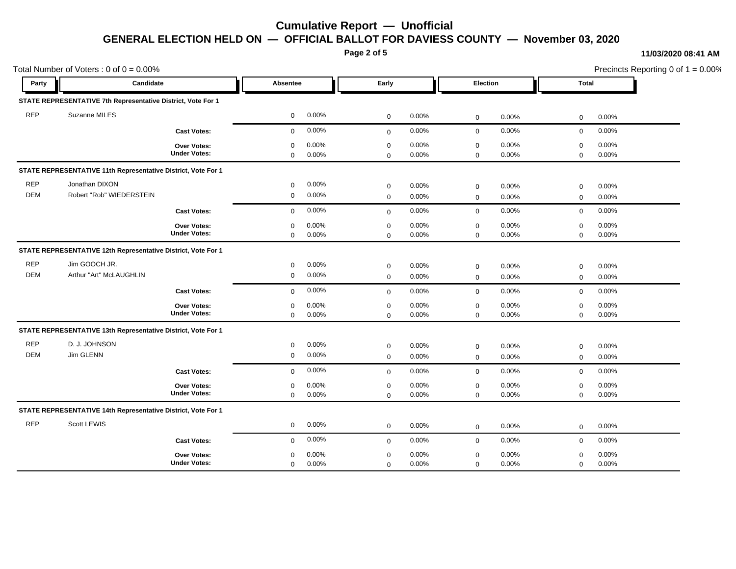**Page 2 of 5**

#### **11/03/2020 08:41 AM**

| Total Number of Voters: $0$ of $0 = 0.00\%$ |                                                               |                                           |                            |                |                            |                   |                            |                |                            | Precincts Reporting 0 of $1 = 0.00\%$ |  |
|---------------------------------------------|---------------------------------------------------------------|-------------------------------------------|----------------------------|----------------|----------------------------|-------------------|----------------------------|----------------|----------------------------|---------------------------------------|--|
| Party                                       | Candidate                                                     |                                           | Absentee                   |                | Early                      |                   | <b>Election</b>            |                | Total                      |                                       |  |
|                                             | STATE REPRESENTATIVE 7th Representative District, Vote For 1  |                                           |                            |                |                            |                   |                            |                |                            |                                       |  |
| <b>REP</b>                                  | Suzanne MILES                                                 |                                           | $\mathbf 0$                | 0.00%          | $\mathbf 0$                | 0.00%             | $\mathsf 0$                | 0.00%          | $\mathbf 0$                | 0.00%                                 |  |
|                                             |                                                               | <b>Cast Votes:</b>                        | $\mathbf 0$                | 0.00%          | $\mathbf 0$                | 0.00%             | $\mathbf 0$                | 0.00%          | $\mathbf 0$                | 0.00%                                 |  |
|                                             |                                                               | <b>Over Votes:</b><br><b>Under Votes:</b> | $\Omega$<br>$\Omega$       | 0.00%<br>0.00% | $\mathbf 0$<br>$\Omega$    | 0.00%<br>0.00%    | $\mathbf 0$<br>$\mathbf 0$ | 0.00%<br>0.00% | $\mathbf 0$<br>$\mathbf 0$ | 0.00%<br>0.00%                        |  |
|                                             | STATE REPRESENTATIVE 11th Representative District, Vote For 1 |                                           |                            |                |                            |                   |                            |                |                            |                                       |  |
| <b>REP</b><br><b>DEM</b>                    | Jonathan DIXON<br>Robert "Rob" WIEDERSTEIN                    |                                           | $\mathbf 0$<br>$\mathbf 0$ | 0.00%<br>0.00% | $\mathbf 0$<br>$\mathbf 0$ | 0.00%<br>0.00%    | $\mathsf 0$<br>$\mathbf 0$ | 0.00%<br>0.00% | $\mathbf 0$<br>$\mathbf 0$ | 0.00%<br>0.00%                        |  |
|                                             |                                                               | <b>Cast Votes:</b>                        | $\mathbf 0$                | 0.00%          | $\mathbf 0$                | 0.00%             | $\mathbf 0$                | 0.00%          | $\mathbf 0$                | 0.00%                                 |  |
|                                             |                                                               | <b>Over Votes:</b><br><b>Under Votes:</b> | $\mathbf 0$<br>$\mathbf 0$ | 0.00%<br>0.00% | $\mathbf 0$<br>$\Omega$    | $0.00\%$<br>0.00% | $\mathbf 0$<br>$\mathbf 0$ | 0.00%<br>0.00% | $\mathbf 0$<br>$\mathbf 0$ | 0.00%<br>0.00%                        |  |
|                                             | STATE REPRESENTATIVE 12th Representative District, Vote For 1 |                                           |                            |                |                            |                   |                            |                |                            |                                       |  |
| <b>REP</b><br><b>DEM</b>                    | Jim GOOCH JR.<br>Arthur "Art" McLAUGHLIN                      |                                           | 0<br>$\mathbf 0$           | 0.00%<br>0.00% | $\mathbf 0$<br>$\mathbf 0$ | 0.00%<br>0.00%    | $\mathsf 0$<br>$\mathbf 0$ | 0.00%<br>0.00% | $\mathbf 0$<br>$\mathbf 0$ | 0.00%<br>0.00%                        |  |
|                                             |                                                               | <b>Cast Votes:</b>                        | $\mathbf 0$                | 0.00%          | $\mathbf 0$                | 0.00%             | $\mathsf 0$                | 0.00%          | $\mathbf 0$                | 0.00%                                 |  |
|                                             |                                                               | <b>Over Votes:</b><br><b>Under Votes:</b> | $\mathbf 0$<br>$\mathbf 0$ | 0.00%<br>0.00% | $\mathbf 0$<br>$\Omega$    | 0.00%<br>0.00%    | $\mathsf 0$<br>$\mathbf 0$ | 0.00%<br>0.00% | $\mathbf 0$<br>$\mathbf 0$ | 0.00%<br>0.00%                        |  |
|                                             | STATE REPRESENTATIVE 13th Representative District, Vote For 1 |                                           |                            |                |                            |                   |                            |                |                            |                                       |  |
| <b>REP</b><br><b>DEM</b>                    | D. J. JOHNSON<br>Jim GLENN                                    |                                           | $\mathbf 0$<br>$\mathbf 0$ | 0.00%<br>0.00% | $\mathbf 0$<br>$\mathbf 0$ | 0.00%<br>0.00%    | $\mathsf 0$<br>$\mathbf 0$ | 0.00%<br>0.00% | $\mathbf 0$<br>$\mathbf 0$ | 0.00%<br>0.00%                        |  |
|                                             |                                                               | <b>Cast Votes:</b>                        | $\mathbf 0$                | 0.00%          | $\mathbf 0$                | 0.00%             | $\mathbf 0$                | 0.00%          | $\mathbf 0$                | 0.00%                                 |  |
|                                             |                                                               | Over Votes:<br><b>Under Votes:</b>        | $\mathbf 0$<br>$\mathbf 0$ | 0.00%<br>0.00% | $\mathbf 0$<br>$\mathbf 0$ | 0.00%<br>0.00%    | $\mathbf 0$<br>$\mathbf 0$ | 0.00%<br>0.00% | $\mathbf 0$<br>$\mathbf 0$ | 0.00%<br>0.00%                        |  |
|                                             | STATE REPRESENTATIVE 14th Representative District, Vote For 1 |                                           |                            |                |                            |                   |                            |                |                            |                                       |  |
| <b>REP</b>                                  | Scott LEWIS                                                   |                                           | $\mathbf 0$                | 0.00%          | $\mathbf 0$                | 0.00%             | $\mathbf 0$                | 0.00%          | $\mathbf 0$                | 0.00%                                 |  |
|                                             |                                                               | <b>Cast Votes:</b>                        | $\mathbf 0$                | 0.00%          | $\mathbf 0$                | 0.00%             | $\mathbf 0$                | 0.00%          | $\mathbf 0$                | 0.00%                                 |  |
|                                             |                                                               | <b>Over Votes:</b><br><b>Under Votes:</b> | $\Omega$<br>$\mathbf 0$    | 0.00%<br>0.00% | $\mathbf 0$<br>$\mathbf 0$ | 0.00%<br>0.00%    | $\mathbf 0$<br>$\mathbf 0$ | 0.00%<br>0.00% | $\mathbf 0$<br>$\mathbf 0$ | 0.00%<br>0.00%                        |  |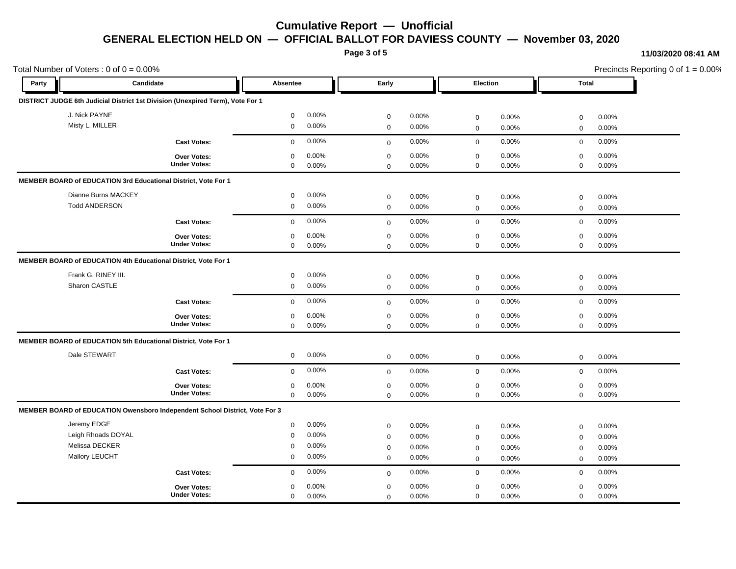**Page 3 of 5**

#### **11/03/2020 08:41 AM**

| Total Number of Voters: $0$ of $0 = 0.00\%$ |                      |                                                                                |                  |       |                            |       |                            |       |                            | Precincts Reporting 0 of $1 = 0.00\%$ |  |  |
|---------------------------------------------|----------------------|--------------------------------------------------------------------------------|------------------|-------|----------------------------|-------|----------------------------|-------|----------------------------|---------------------------------------|--|--|
| Party                                       | Candidate            |                                                                                | Absentee         |       | Early                      |       | Election                   |       | <b>Total</b>               |                                       |  |  |
|                                             |                      | DISTRICT JUDGE 6th Judicial District 1st Division (Unexpired Term), Vote For 1 |                  |       |                            |       |                            |       |                            |                                       |  |  |
| J. Nick PAYNE                               |                      |                                                                                | $\mathbf 0$      | 0.00% | $\mathbf 0$                | 0.00% | $\mathsf 0$                | 0.00% | $\mathbf 0$                | 0.00%                                 |  |  |
|                                             | Misty L. MILLER      |                                                                                | $\mathbf 0$      | 0.00% | $\mathbf 0$                | 0.00% | $\mathbf 0$                | 0.00% | $\mathbf 0$                | 0.00%                                 |  |  |
|                                             |                      | <b>Cast Votes:</b>                                                             | $\mathbf 0$      | 0.00% | $\mathbf 0$                | 0.00% | $\mathbf 0$                | 0.00% | $\mathbf 0$                | 0.00%                                 |  |  |
|                                             |                      | <b>Over Votes:</b>                                                             | $\Omega$         | 0.00% | $\mathbf 0$                | 0.00% | $\mathbf 0$                | 0.00% | $\mathbf 0$                | 0.00%                                 |  |  |
|                                             |                      | <b>Under Votes:</b>                                                            | $\mathbf 0$      | 0.00% | $\mathbf 0$                | 0.00% | $\mathbf 0$                | 0.00% | $\mathbf 0$                | 0.00%                                 |  |  |
|                                             |                      | MEMBER BOARD of EDUCATION 3rd Educational District, Vote For 1                 |                  |       |                            |       |                            |       |                            |                                       |  |  |
|                                             | Dianne Burns MACKEY  |                                                                                | $\mathbf 0$      | 0.00% | $\mathbf 0$                | 0.00% | $\mathbf 0$                | 0.00% | $\mathbf 0$                | 0.00%                                 |  |  |
|                                             | <b>Todd ANDERSON</b> |                                                                                | $\mathbf 0$      | 0.00% | $\mathbf 0$                | 0.00% | $\mathbf 0$                | 0.00% | $\mathbf 0$                | 0.00%                                 |  |  |
|                                             |                      | <b>Cast Votes:</b>                                                             | $\mathbf 0$      | 0.00% | $\mathbf 0$                | 0.00% | $\mathbf 0$                | 0.00% | $\mathbf 0$                | 0.00%                                 |  |  |
|                                             |                      | Over Votes:                                                                    | 0                | 0.00% | $\mathbf 0$                | 0.00% | $\mathsf 0$                | 0.00% | $\mathbf 0$                | 0.00%                                 |  |  |
|                                             |                      | <b>Under Votes:</b>                                                            | $\mathbf 0$      | 0.00% | $\mathbf 0$                | 0.00% | $\mathbf 0$                | 0.00% | $\mathbf 0$                | 0.00%                                 |  |  |
|                                             |                      | MEMBER BOARD of EDUCATION 4th Educational District, Vote For 1                 |                  |       |                            |       |                            |       |                            |                                       |  |  |
|                                             | Frank G. RINEY III.  |                                                                                | 0                | 0.00% | $\mathbf 0$                | 0.00% |                            | 0.00% |                            | 0.00%                                 |  |  |
|                                             | Sharon CASTLE        |                                                                                | $\mathbf 0$      | 0.00% | $\mathbf 0$                | 0.00% | $\mathsf 0$<br>$\mathbf 0$ | 0.00% | $\mathbf 0$<br>$\mathbf 0$ | 0.00%                                 |  |  |
|                                             |                      | <b>Cast Votes:</b>                                                             | $\mathbf 0$      | 0.00% | $\mathbf 0$                | 0.00% | $\mathbf 0$                | 0.00% | $\mathbf 0$                | 0.00%                                 |  |  |
|                                             |                      |                                                                                |                  | 0.00% |                            | 0.00% |                            | 0.00% |                            | 0.00%                                 |  |  |
|                                             |                      | Over Votes:<br><b>Under Votes:</b>                                             | 0<br>$\mathbf 0$ | 0.00% | $\mathbf 0$<br>$\mathbf 0$ | 0.00% | $\mathsf 0$<br>$\mathbf 0$ | 0.00% | $\mathbf 0$<br>$\mathbf 0$ | 0.00%                                 |  |  |
|                                             |                      | MEMBER BOARD of EDUCATION 5th Educational District, Vote For 1                 |                  |       |                            |       |                            |       |                            |                                       |  |  |
|                                             | Dale STEWART         |                                                                                | $\mathbf 0$      | 0.00% | $\mathbf 0$                | 0.00% | $\mathbf 0$                | 0.00% | $\mathbf 0$                | 0.00%                                 |  |  |
|                                             |                      | <b>Cast Votes:</b>                                                             | $\mathbf 0$      | 0.00% | $\mathbf 0$                | 0.00% | $\mathbf 0$                | 0.00% | $\mathbf 0$                | 0.00%                                 |  |  |
|                                             |                      | Over Votes:                                                                    | 0                | 0.00% | $\mathbf 0$                | 0.00% | $\mathsf 0$                | 0.00% | $\mathbf 0$                | 0.00%                                 |  |  |
|                                             |                      | <b>Under Votes:</b>                                                            | $\mathbf 0$      | 0.00% | $\mathbf 0$                | 0.00% | $\mathbf 0$                | 0.00% | $\mathbf 0$                | 0.00%                                 |  |  |
|                                             |                      | MEMBER BOARD of EDUCATION Owensboro Independent School District, Vote For 3    |                  |       |                            |       |                            |       |                            |                                       |  |  |
| Jeremy EDGE                                 |                      |                                                                                | $\mathbf 0$      | 0.00% | $\mathbf 0$                | 0.00% | $\mathbf 0$                | 0.00% | $\mathbf 0$                | 0.00%                                 |  |  |
|                                             | Leigh Rhoads DOYAL   |                                                                                | $\mathbf 0$      | 0.00% | $\mathbf 0$                | 0.00% | $\mathbf 0$                | 0.00% | $\mathbf 0$                | 0.00%                                 |  |  |
|                                             | Melissa DECKER       |                                                                                | 0                | 0.00% | $\mathbf 0$                | 0.00% | $\mathbf 0$                | 0.00% | $\mathbf 0$                | 0.00%                                 |  |  |
|                                             | Mallory LEUCHT       |                                                                                | $\mathbf 0$      | 0.00% | $\mathbf 0$                | 0.00% | $\mathbf 0$                | 0.00% | $\mathbf 0$                | 0.00%                                 |  |  |
|                                             |                      | <b>Cast Votes:</b>                                                             | $\mathbf 0$      | 0.00% | $\mathbf 0$                | 0.00% | $\mathbf 0$                | 0.00% | $\mathbf 0$                | 0.00%                                 |  |  |
|                                             |                      | Over Votes:                                                                    | 0                | 0.00% | $\mathbf 0$                | 0.00% | $\mathbf 0$                | 0.00% | $\mathbf 0$                | 0.00%                                 |  |  |
|                                             |                      | <b>Under Votes:</b>                                                            | $\mathbf 0$      | 0.00% | $\mathbf 0$                | 0.00% | $\mathbf 0$                | 0.00% | $\mathbf 0$                | 0.00%                                 |  |  |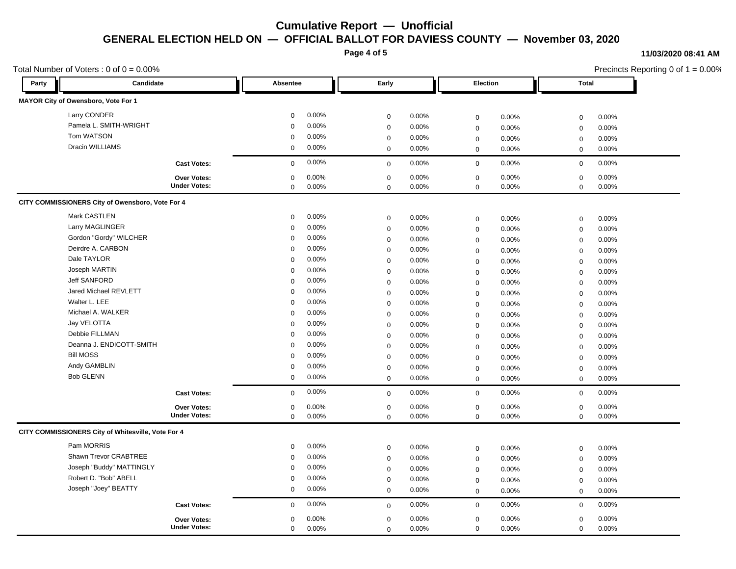**Page 4 of 5**

#### **11/03/2020 08:41 AM**

|       | Total Number of Voters : 0 of $0 = 0.00\%$         |                     |             |       |             |       |                      | Precincts Reporting 0 of $1 = 0.00\%$ |       |  |
|-------|----------------------------------------------------|---------------------|-------------|-------|-------------|-------|----------------------|---------------------------------------|-------|--|
| Party | Candidate                                          |                     | Absentee    |       | Early       |       | Election             | <b>Total</b>                          |       |  |
|       | MAYOR City of Owensboro, Vote For 1                |                     |             |       |             |       |                      |                                       |       |  |
|       | Larry CONDER                                       |                     | $\mathbf 0$ | 0.00% | $\mathbf 0$ | 0.00% | 0.00%<br>$\mathbf 0$ | $\mathbf 0$                           | 0.00% |  |
|       | Pamela L. SMITH-WRIGHT                             |                     | $\mathbf 0$ | 0.00% | $\mathbf 0$ | 0.00% | 0.00%<br>$\mathbf 0$ | $\mathbf 0$                           | 0.00% |  |
|       | Tom WATSON                                         |                     | $\mathbf 0$ | 0.00% | $\mathbf 0$ | 0.00% | 0.00%<br>$\mathbf 0$ | $\mathbf 0$                           | 0.00% |  |
|       | Dracin WILLIAMS                                    |                     | $\mathbf 0$ | 0.00% | $\mathbf 0$ | 0.00% | $\mathbf 0$<br>0.00% | $\mathbf 0$                           | 0.00% |  |
|       |                                                    | <b>Cast Votes:</b>  | $\mathbf 0$ | 0.00% | $\mathbf 0$ | 0.00% | $\mathbf 0$<br>0.00% | $\mathbf 0$                           | 0.00% |  |
|       |                                                    | <b>Over Votes:</b>  | 0           | 0.00% | $\pmb{0}$   | 0.00% | 0.00%<br>$\mathbf 0$ | $\mathbf 0$                           | 0.00% |  |
|       |                                                    | <b>Under Votes:</b> | $\mathbf 0$ | 0.00% | $\mathbf 0$ | 0.00% | $\mathsf 0$<br>0.00% | $\mathbf 0$                           | 0.00% |  |
|       | CITY COMMISSIONERS City of Owensboro, Vote For 4   |                     |             |       |             |       |                      |                                       |       |  |
|       | Mark CASTLEN                                       |                     | $\mathbf 0$ | 0.00% | $\mathbf 0$ | 0.00% | 0.00%<br>$\mathbf 0$ | $\mathbf 0$                           | 0.00% |  |
|       | Larry MAGLINGER                                    |                     | $\mathbf 0$ | 0.00% | $\mathbf 0$ | 0.00% | 0.00%<br>$\mathbf 0$ | $\mathbf 0$                           | 0.00% |  |
|       | Gordon "Gordy" WILCHER                             |                     | $\mathbf 0$ | 0.00% | $\mathbf 0$ | 0.00% | 0.00%<br>$\mathsf 0$ | $\mathbf 0$                           | 0.00% |  |
|       | Deirdre A. CARBON                                  |                     | $\Omega$    | 0.00% | $\mathbf 0$ | 0.00% | $\mathbf 0$<br>0.00% | $\mathbf 0$                           | 0.00% |  |
|       | Dale TAYLOR                                        |                     | $\mathbf 0$ | 0.00% | $\mathbf 0$ | 0.00% | 0.00%<br>$\mathbf 0$ | $\mathbf 0$                           | 0.00% |  |
|       | Joseph MARTIN                                      |                     | $\mathbf 0$ | 0.00% | $\mathbf 0$ | 0.00% | 0.00%<br>$\mathbf 0$ | $\mathbf 0$                           | 0.00% |  |
|       | <b>Jeff SANFORD</b>                                |                     | $\Omega$    | 0.00% | $\mathbf 0$ | 0.00% | $\mathbf 0$<br>0.00% | $\mathbf 0$                           | 0.00% |  |
|       | Jared Michael REVLETT                              |                     | $\mathbf 0$ | 0.00% | $\mathbf 0$ | 0.00% | 0.00%<br>$\mathbf 0$ | $\mathbf 0$                           | 0.00% |  |
|       | Walter L. LEE                                      |                     | $\mathbf 0$ | 0.00% | $\mathbf 0$ | 0.00% | 0.00%<br>$\mathbf 0$ | $\mathbf 0$                           | 0.00% |  |
|       | Michael A. WALKER                                  |                     | $\Omega$    | 0.00% | $\mathbf 0$ | 0.00% | $\mathbf 0$<br>0.00% | $\mathbf 0$                           | 0.00% |  |
|       | Jay VELOTTA                                        |                     | $\mathbf 0$ | 0.00% | $\mathbf 0$ | 0.00% | 0.00%<br>$\mathbf 0$ | $\mathbf 0$                           | 0.00% |  |
|       | Debbie FILLMAN                                     |                     | $\mathbf 0$ | 0.00% | $\mathbf 0$ | 0.00% | 0.00%<br>$\mathbf 0$ | $\mathbf 0$                           | 0.00% |  |
|       | Deanna J. ENDICOTT-SMITH                           |                     | $\Omega$    | 0.00% | $\mathbf 0$ | 0.00% | 0.00%<br>$\mathbf 0$ | $\mathbf 0$                           | 0.00% |  |
|       | <b>Bill MOSS</b>                                   |                     | $\mathbf 0$ | 0.00% | $\mathbf 0$ | 0.00% | 0.00%<br>$\mathsf 0$ | $\mathbf 0$                           | 0.00% |  |
|       | Andy GAMBLIN                                       |                     | $\mathbf 0$ | 0.00% | $\mathbf 0$ | 0.00% | 0.00%<br>$\mathbf 0$ | $\mathbf 0$                           | 0.00% |  |
|       | <b>Bob GLENN</b>                                   |                     | $\mathbf 0$ | 0.00% | $\mathbf 0$ | 0.00% | 0.00%<br>$\mathbf 0$ | $\mathbf 0$                           | 0.00% |  |
|       |                                                    | <b>Cast Votes:</b>  | $\mathbf 0$ | 0.00% | $\mathbf 0$ | 0.00% | 0.00%<br>$\mathbf 0$ | $\mathbf 0$                           | 0.00% |  |
|       |                                                    | Over Votes:         | $\mathbf 0$ | 0.00% | $\mathbf 0$ | 0.00% | $\mathbf 0$<br>0.00% | $\mathbf 0$                           | 0.00% |  |
|       |                                                    | <b>Under Votes:</b> | $\mathbf 0$ | 0.00% | $\Omega$    | 0.00% | 0.00%<br>$\mathbf 0$ | $\mathbf 0$                           | 0.00% |  |
|       | CITY COMMISSIONERS City of Whitesville, Vote For 4 |                     |             |       |             |       |                      |                                       |       |  |
|       | Pam MORRIS                                         |                     | $\mathbf 0$ | 0.00% | $\mathbf 0$ | 0.00% | 0.00%<br>$\mathbf 0$ | $\mathbf 0$                           | 0.00% |  |
|       | Shawn Trevor CRABTREE                              |                     | $\Omega$    | 0.00% | $\mathbf 0$ | 0.00% | $\mathbf 0$<br>0.00% | $\mathbf 0$                           | 0.00% |  |
|       | Joseph "Buddy" MATTINGLY                           |                     | $\mathbf 0$ | 0.00% | $\mathbf 0$ | 0.00% | $\mathbf 0$<br>0.00% | $\mathbf 0$                           | 0.00% |  |
|       | Robert D. "Bob" ABELL                              |                     | 0           | 0.00% | $\mathbf 0$ | 0.00% | 0.00%<br>$\mathbf 0$ | $\mathbf 0$                           | 0.00% |  |
|       | Joseph "Joey" BEATTY                               |                     | $\mathbf 0$ | 0.00% | $\mathbf 0$ | 0.00% | 0.00%<br>$\mathbf 0$ | $\mathbf 0$                           | 0.00% |  |
|       |                                                    | <b>Cast Votes:</b>  | $\Omega$    | 0.00% | $\mathbf 0$ | 0.00% | 0.00%<br>$\mathbf 0$ | $\mathbf 0$                           | 0.00% |  |
|       |                                                    | Over Votes:         | $\mathbf 0$ | 0.00% | $\mathbf 0$ | 0.00% | 0.00%<br>$\mathbf 0$ | $\mathbf 0$                           | 0.00% |  |
|       |                                                    | <b>Under Votes:</b> | $\mathbf 0$ | 0.00% | $\mathbf 0$ | 0.00% | $\mathbf 0$<br>0.00% | $\mathbf 0$                           | 0.00% |  |